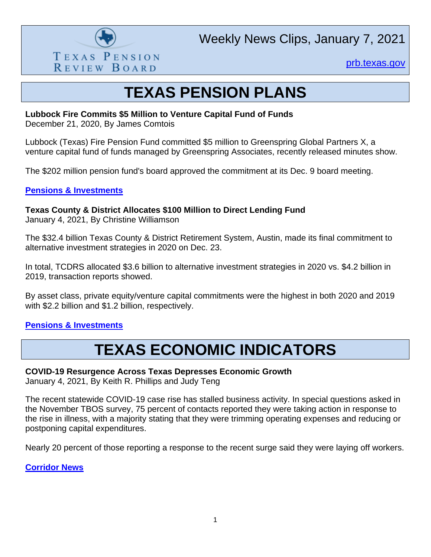

Weekly News Clips, January 7, 2021

[prb.texas.gov](http://www.prb.texas.gov/)

## **TEXAS PENSION PLANS**

#### **Lubbock Fire Commits \$5 Million to Venture Capital Fund of Funds**

December 21, 2020, By James Comtois

Lubbock (Texas) Fire Pension Fund committed \$5 million to Greenspring Global Partners X, a venture capital fund of funds managed by Greenspring Associates, recently released minutes show.

The \$202 million pension fund's board approved the commitment at its Dec. 9 board meeting.

#### **[Pensions & Investments](https://www.pionline.com/searches-and-hires/lubbock-fire-commits-5-million-venture-capital-fund-funds)**

**Texas County & District Allocates \$100 Million to Direct Lending Fund**

January 4, 2021, By Christine Williamson

The \$32.4 billion Texas County & District Retirement System, Austin, made its final commitment to alternative investment strategies in 2020 on Dec. 23.

In total, TCDRS allocated \$3.6 billion to alternative investment strategies in 2020 vs. \$4.2 billion in 2019, transaction reports showed.

By asset class, private equity/venture capital commitments were the highest in both 2020 and 2019 with \$2.2 billion and \$1.2 billion, respectively.

## **[Pensions & Investments](https://www.pionline.com/searches-and-hires/texas-county-district-allocates-100-million-direct-lending-fund)**

## **TEXAS ECONOMIC INDICATORS**

## **COVID-19 Resurgence Across Texas Depresses Economic Growth**

January 4, 2021, By Keith R. Phillips and Judy Teng

The recent statewide COVID-19 case rise has stalled business activity. In special questions asked in the November TBOS survey, 75 percent of contacts reported they were taking action in response to the rise in illness, with a majority stating that they were trimming operating expenses and reducing or postponing capital expenditures.

Nearly 20 percent of those reporting a response to the recent surge said they were laying off workers.

**[Corridor News](https://smcorridornews.com/covid-19-resurgence-across-texas-depresses-economic-growth/)**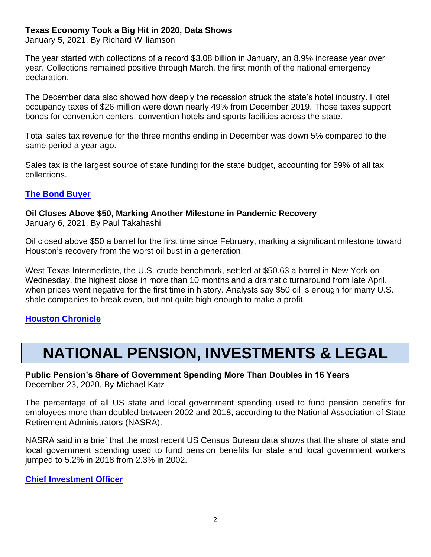## **Texas Economy Took a Big Hit in 2020, Data Shows**

January 5, 2021, By Richard Williamson

The year started with collections of a record \$3.08 billion in January, an 8.9% increase year over year. Collections remained positive through March, the first month of the national emergency declaration.

The December data also showed how deeply the recession struck the state's hotel industry. Hotel occupancy taxes of \$26 million were down nearly 49% from December 2019. Those taxes support bonds for convention centers, convention hotels and sports facilities across the state.

Total sales tax revenue for the three months ending in December was down 5% compared to the same period a year ago.

Sales tax is the largest source of state funding for the state budget, accounting for 59% of all tax collections.

## **[The Bond Buyer](https://www.bondbuyer.com/news/texas-economy-took-a-big-hit-in-2020-data-shows)**

## **Oil Closes Above \$50, Marking Another Milestone in Pandemic Recovery**

January 6, 2021, By Paul Takahashi

Oil closed above \$50 a barrel for the first time since February, marking a significant milestone toward Houston's recovery from the worst oil bust in a generation.

West Texas Intermediate, the U.S. crude benchmark, settled at \$50.63 a barrel in New York on Wednesday, the highest close in more than 10 months and a dramatic turnaround from late April, when prices went negative for the first time in history. Analysts say \$50 oil is enough for many U.S. shale companies to break even, but not quite high enough to make a profit.

## **[Houston Chronicle](https://www.houstonchronicle.com/business/energy/article/Oil-closes-above-50-marking-another-milestone-15850855.php)**

# **NATIONAL PENSION, INVESTMENTS & LEGAL**

**Public Pension's Share of Government Spending More Than Doubles in 16 Years** December 23, 2020, By Michael Katz

The percentage of all US state and local government spending used to fund pension benefits for employees more than doubled between 2002 and 2018, according to the National Association of State Retirement Administrators (NASRA).

NASRA said in a brief that the most recent US Census Bureau data shows that the share of state and local government spending used to fund pension benefits for state and local government workers jumped to 5.2% in 2018 from 2.3% in 2002.

#### **[Chief Investment Officer](https://www.ai-cio.com/news/public-pensions-share-government-spending-doubles-16-years/)**